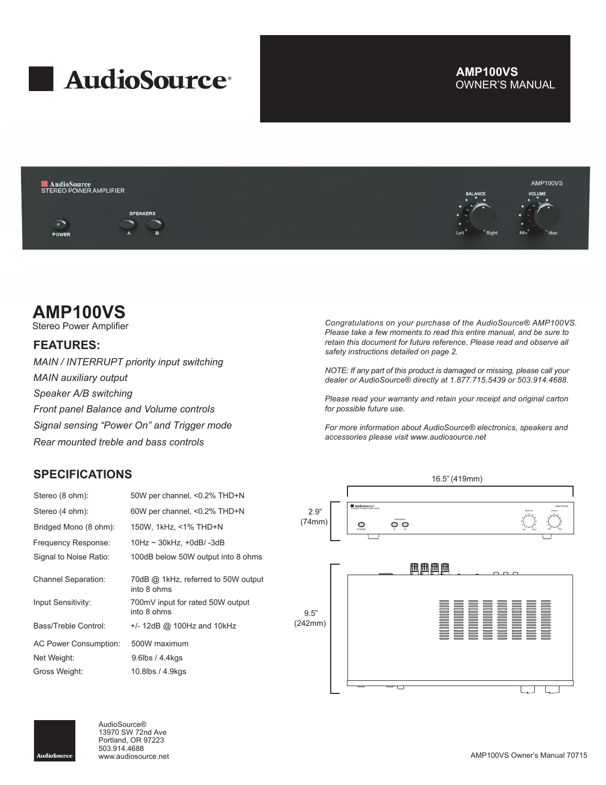

## OWNER'S MANUAL **AMP100VS**





## **AMP100VS**

Stereo Power Amplifier

## **FEATURES:**

*MAIN / INTERRUPT priority input switching MAIN auxiliary output Speaker A/B switching Front panel Balance and Volume controls Signal sensing "Power On" and Trigger mode Rear mounted treble and bass controls*

## **SPECIFICATIONS**

| Stereo (8 ohm):              | 50W per channel, <0.2% THD+N                       |
|------------------------------|----------------------------------------------------|
| Stereo (4 ohm):              | 60W per channel, <0.2% THD+N                       |
| Bridged Mono (8 ohm):        | 150W, 1kHz, <1% THD+N                              |
| Frequency Response:          | 10Hz ~ 30kHz, +0dB/-3dB                            |
| Signal to Noise Ratio:       | 100dB below 50W output into 8 ohms                 |
| <b>Channel Separation:</b>   | 70dB @ 1kHz, referred to 50W output<br>into 8 ohms |
| Input Sensitivity:           | 700mV input for rated 50W output<br>into 8 ohms    |
| Bass/Treble Control:         | $+/- 12dB$ @ 100Hz and 10kHz                       |
| <b>AC Power Consumption:</b> | 500W maximum                                       |
| Net Weight:                  | $9.6$ lbs / $4.4$ kgs                              |
| Gross Weight:                | 10.8lbs / 4.9kgs                                   |

*Congratulations on your purchase of the AudioSource® AMP100VS. Please take a few moments to read this entire manual, and be sure to retain this document for future reference. Please read and observe all safety instructions detailed on page 2.*

*NOTE: If any part of this product is damaged or missing, please call your dealer or AudioSource® directly at 1.877.715.5439 or 503.914.4688.*

*Please read your warranty and retain your receipt and original carton for possible future use.*

*For more information about AudioSource® electronics, speakers and accessories please visit www.audiosource.net*





AudioSource® 13970 SW 72nd Ave Portland, OR 97223 503.914.4688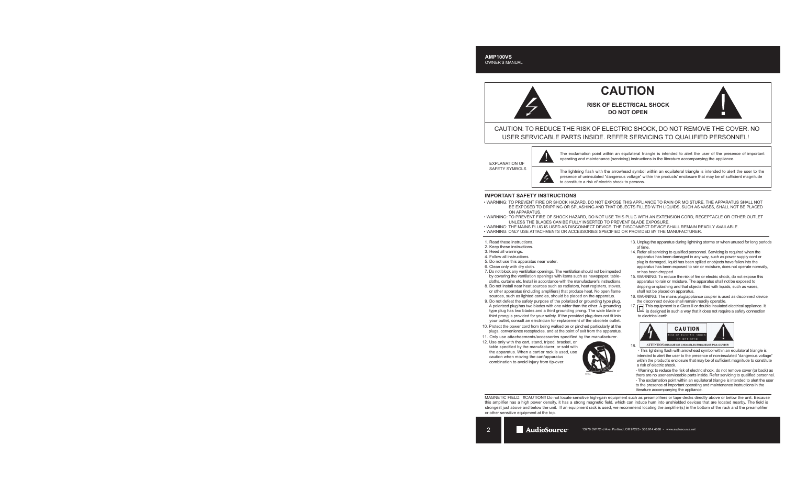# **CAUTION**

**RISK OF ELECTRICAL SHOCK DO NOT OPEN**



CAUTION: TO REDUCE THE RISK OF ELECTRIC SHOCK, DO NOT REMOVE THE COVER. NO USER SERVICABLE PARTS INSIDE. REFER SERVICING TO QUALIFIED PERSONNEL!

EXPLANATION OF SAFETY SYMBOLS



The exclamation point within an equilateral triangle is intended to alert the user of the presence of important operating and maintenance (servicing) instructions in the literature accompanying the appliance.

The lightning flash with the arrowhead symbol within an equilateral triangle is intended to alert the user to the presence of uninsulated "dangerous voltage" within the products' enclosure that may be of sufficient magnitude to constitute a risk of electric shock to persons.

#### **IMPORTANT SAFETY INSTRUCTIONS**

- WARNING: TO PREVENT FIRE OR SHOCK HAZARD, DO NOT EXPOSE THIS APPLIANCE TO RAIN OR MOISTURE. THE APPARATUS SHALL NOT BE EXPOSED TO DRIPPING OR SPLASHING AND THAT OBJECTS FILLED WITH LIQUIDS, SUCH AS VASES, SHALL NOT BE PLACED ON APPARATUS.
- WARNING: TO PREVENT FIRE OF SHOCK HAZARD, DO NOT USE THIS PLUG WITH AN EXTENSION CORD, RECEPTACLE OR OTHER OUTLET UNLESS THE BLADES CAN BE FULLY INSERTED TO PREVENT BLADE EXPOSURE.
- WARNING: THE MAINS PLUG IS USED AS DISCONNECT DEVICE. THE DISCONNECT DEVICE SHALL REMAIN READILY AVAILABLE.
- WARNING: ONLY USE ATTACHMENTS OR ACCESSORIES SPECIFIED OR PROVIDED BY THE MANUFACTURER.
- 1. Read these instructions.
- 2. Keep these instructions.
- 3. Heed all warnings.
- 4. Follow all instructions.
- 5. Do not use this apparatus near water.
- 6. Clean only with dry cloth.
- 7. Do not block any ventilation openings. The ventilation should not be impeded by covering the ventilation openings with items such as newspaper, table cloths, curtains etc. Install in accordance with the manufacturer's instructions.
- 8. Do not install near heat sources such as radiators, heat registers, stoves, or other apparatus (including amplifiers) that produce heat. No open flame sources, such as lighted candles, should be placed on the apparatus.
- 9. Do not defeat the safety purpose of the polarized or grounding type plug. A polarized plug has two blades with one wider than the other. A grounding type plug has two blades and a third grounding prong. The wide blade or third prong is provided for your safety. If the provided plug does not fit into your outlet, consult an electrician for replacement of the obsolete outlet.
- 10. Protect the power cord from being walked on or pinched particularly at the plugs, convenience receptacles, and at the point of exit from the apparatus.
- 11. Only use attacheements/accessories specified by the manufacturer.
- 12. Use only with the cart, stand, tripod, bracket, or table specified by the manufacturer, or sold with the apparatus. When a cart or rack is used, use caution when moving the cart/apparatus combination to avoid injury from tip-over.



- 13. Unplug the apparatus during lightning storms or when unused for long periods of time.
- 14. Refer all servicing to qualified personnel. Servicing is required when the apparatus has been damaged in any way, such as power supply cord or plug is damaged, liquid has been spilled or objects have fallen into the apparatus has been exposed to rain or moisture, does not operate normally, or has been dropped.
- 15. WARNING: To reduce the risk of fire or electric shock, do not expose this apparatus to rain or moisture. The apparatus shall not be exposed to dripping or splashing and that objects filled with liquids, such as vases, shall not be placed on apparatus.
- 16. WARNING: The mains plug/appliance coupler is used as disconnect device, the disconnect device shall remain readily operable.
- 17. This equipment is a Class II or double insulated electrical appliance. It is designed in such a way that it does not require a safety connection to electrical earth.



ATTENTION: RISQUE DE CHOC ELECTRIQUE-NE PAS OUVRIR 18.

 - This lightning flash with arrowhead symbol within an equilateral triangle is intended to alert the user to the presence of non-insulated "dangerous voltage" within the product's enclosure that may be of sufficient magnitude to constitute a risk of electric shock.

 - Warning: to reduce the risk of electric shock, do not remove cover (or back) as there are no user-serviceable parts inside. Refer servicing to qualified personnel. - The exclamation point within an equilateral triangle is intended to alert the user

 to the presence of important operating and maintenance instructions in the literature accompanying the appliance.

MAGNETIC FIELD: !!CAUTION!! Do not locate sensitive high-gain equipment such as preamplifiers or tape decks directly above or below the unit. Because this amplifier has a high power density, it has a strong magnetic field, which can induce hum into unshielded devices that are located nearby. The field is strongest just above and below the unit. If an equipment rack is used, we recommend locating the amplifier(s) in the bottom of the rack and the preamplifier or other sensitive equipment at the top.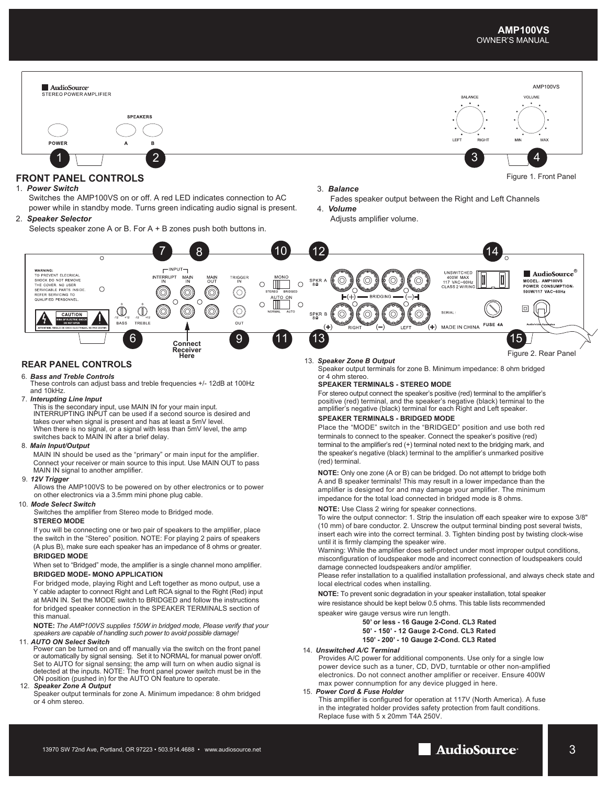

*speakers are capable of handling such power to avoid possible damage!*

#### 11. *AUTO ON Select Switch*

Power can be turned on and off manually via the switch on the front panel or automatically by signal sensing. Set it to NORMAL for manual power on/off. Set to AUTO for signal sensing; the amp will turn on when audio signal is detected at the inputs. NOTE: The front panel power switch must be in the ON position (pushed in) for the AUTO ON feature to operate.

#### 12. *Speaker Zone A Output*

Speaker output terminals for zone A. Minimum impedance: 8 ohm bridged or 4 ohm stereo.

#### **150' - 200' - 10 Gauge 2-Cond. CL3 Rated** 14. *Unswitched A/C Terminal*

Provides A/C power for additional components. Use only for a single low power device such as a tuner, CD, DVD, turntable or other non-amplified .<br>electronics. Do not connect another amplifier or receiver. Ensure 400W max power connumption for any device plugged in here.

#### 15.  *Power Cord & Fuse Holder*

This amplifier is configured for operation at 117V (North America). A fuse in the integrated holder provides safety protection from fault conditions. Replace fuse with 5 x 20mm T4A 250V.